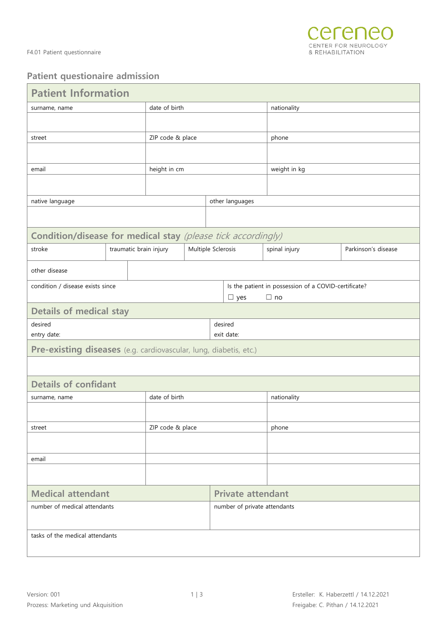

## **Patient questionaire admission**

| <b>Patient Information</b>                                        |  |  |                        |                              |                    |            |                                                      |                     |  |  |
|-------------------------------------------------------------------|--|--|------------------------|------------------------------|--------------------|------------|------------------------------------------------------|---------------------|--|--|
| surname, name                                                     |  |  | date of birth          |                              |                    |            | nationality                                          |                     |  |  |
|                                                                   |  |  |                        |                              |                    |            |                                                      |                     |  |  |
| street                                                            |  |  | ZIP code & place       |                              |                    |            | phone                                                |                     |  |  |
|                                                                   |  |  |                        |                              |                    |            |                                                      |                     |  |  |
|                                                                   |  |  |                        |                              |                    |            |                                                      |                     |  |  |
| email                                                             |  |  | height in cm           |                              |                    |            | weight in kg                                         |                     |  |  |
|                                                                   |  |  |                        |                              |                    |            |                                                      |                     |  |  |
| native language                                                   |  |  | other languages        |                              |                    |            |                                                      |                     |  |  |
|                                                                   |  |  |                        |                              |                    |            |                                                      |                     |  |  |
| Condition/disease for medical stay (please tick accordingly)      |  |  |                        |                              |                    |            |                                                      |                     |  |  |
| stroke                                                            |  |  | traumatic brain injury |                              | Multiple Sclerosis |            | spinal injury                                        | Parkinson's disease |  |  |
| other disease                                                     |  |  |                        |                              |                    |            |                                                      |                     |  |  |
| condition / disease exists since                                  |  |  |                        |                              |                    |            | Is the patient in possession of a COVID-certificate? |                     |  |  |
|                                                                   |  |  |                        |                              |                    | $\Box$ yes | $\Box$ no                                            |                     |  |  |
| <b>Details of medical stay</b>                                    |  |  |                        |                              |                    |            |                                                      |                     |  |  |
| desired                                                           |  |  |                        | desired                      |                    |            |                                                      |                     |  |  |
| entry date:                                                       |  |  |                        |                              | exit date:         |            |                                                      |                     |  |  |
| Pre-existing diseases (e.g. cardiovascular, lung, diabetis, etc.) |  |  |                        |                              |                    |            |                                                      |                     |  |  |
|                                                                   |  |  |                        |                              |                    |            |                                                      |                     |  |  |
| <b>Details of confidant</b>                                       |  |  |                        |                              |                    |            |                                                      |                     |  |  |
| surname, name                                                     |  |  | date of birth          |                              |                    |            | nationality                                          |                     |  |  |
|                                                                   |  |  |                        |                              |                    |            |                                                      |                     |  |  |
| street                                                            |  |  | ZIP code & place       |                              |                    |            | phone                                                |                     |  |  |
|                                                                   |  |  |                        |                              |                    |            |                                                      |                     |  |  |
| email                                                             |  |  |                        |                              |                    |            |                                                      |                     |  |  |
|                                                                   |  |  |                        |                              |                    |            |                                                      |                     |  |  |
| <b>Medical attendant</b>                                          |  |  |                        | <b>Private attendant</b>     |                    |            |                                                      |                     |  |  |
| number of medical attendants                                      |  |  |                        | number of private attendants |                    |            |                                                      |                     |  |  |
|                                                                   |  |  |                        |                              |                    |            |                                                      |                     |  |  |
| tasks of the medical attendants                                   |  |  |                        |                              |                    |            |                                                      |                     |  |  |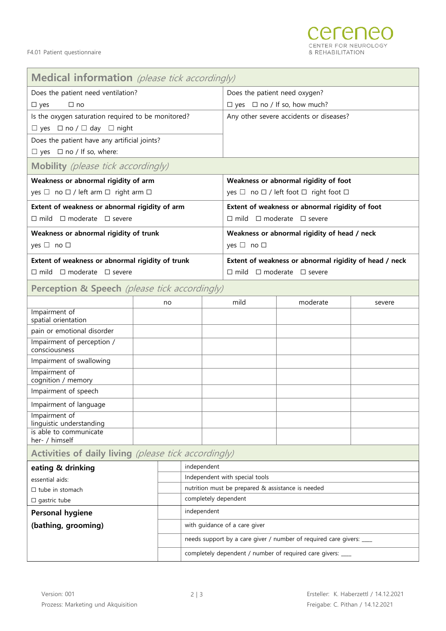| Medical information (please tick accordingly)            |  |    |                                                                     |  |                                                        |          |        |  |  |
|----------------------------------------------------------|--|----|---------------------------------------------------------------------|--|--------------------------------------------------------|----------|--------|--|--|
| Does the patient need ventilation?                       |  |    |                                                                     |  | Does the patient need oxygen?                          |          |        |  |  |
| $\Box$ no<br>$\square$ yes                               |  |    |                                                                     |  | $\Box$ yes $\Box$ no / If so, how much?                |          |        |  |  |
| Is the oxygen saturation required to be monitored?       |  |    |                                                                     |  | Any other severe accidents or diseases?                |          |        |  |  |
| $\Box$ yes $\Box$ no / $\Box$ day $\Box$ night           |  |    |                                                                     |  |                                                        |          |        |  |  |
| Does the patient have any artificial joints?             |  |    |                                                                     |  |                                                        |          |        |  |  |
| $\Box$ yes $\Box$ no / If so, where:                     |  |    |                                                                     |  |                                                        |          |        |  |  |
| <b>Mobility</b> (please tick accordingly)                |  |    |                                                                     |  |                                                        |          |        |  |  |
| Weakness or abnormal rigidity of arm                     |  |    |                                                                     |  | Weakness or abnormal rigidity of foot                  |          |        |  |  |
| yes □ no □ / left arm □ right arm □                      |  |    |                                                                     |  | yes □ no □ / left foot □ right foot □                  |          |        |  |  |
| Extent of weakness or abnormal rigidity of arm           |  |    |                                                                     |  | Extent of weakness or abnormal rigidity of foot        |          |        |  |  |
| $\Box$ mild $\Box$ moderate $\Box$ severe                |  |    |                                                                     |  | $\Box$ mild $\Box$ moderate $\Box$ severe              |          |        |  |  |
| Weakness or abnormal rigidity of trunk                   |  |    |                                                                     |  | Weakness or abnormal rigidity of head / neck           |          |        |  |  |
| yes $\Box$ no $\Box$                                     |  |    |                                                                     |  | yes $\Box$ no $\Box$                                   |          |        |  |  |
| Extent of weakness or abnormal rigidity of trunk         |  |    |                                                                     |  | Extent of weakness or abnormal rigidity of head / neck |          |        |  |  |
| $\square$ mild $\square$ moderate $\square$ severe       |  |    |                                                                     |  | $\Box$ mild $\Box$ moderate $\Box$ severe              |          |        |  |  |
| <b>Perception &amp; Speech</b> (please tick accordingly) |  |    |                                                                     |  |                                                        |          |        |  |  |
|                                                          |  | no |                                                                     |  | mild                                                   | moderate | severe |  |  |
| Impairment of<br>spatial orientation                     |  |    |                                                                     |  |                                                        |          |        |  |  |
| pain or emotional disorder                               |  |    |                                                                     |  |                                                        |          |        |  |  |
| Impairment of perception /<br>consciousness              |  |    |                                                                     |  |                                                        |          |        |  |  |
| Impairment of swallowing                                 |  |    |                                                                     |  |                                                        |          |        |  |  |
| Impairment of<br>cognition / memory                      |  |    |                                                                     |  |                                                        |          |        |  |  |
| Impairment of speech                                     |  |    |                                                                     |  |                                                        |          |        |  |  |
| Impairment of language                                   |  |    |                                                                     |  |                                                        |          |        |  |  |
| Impairment of                                            |  |    |                                                                     |  |                                                        |          |        |  |  |
| linguistic understanding<br>is able to communicate       |  |    |                                                                     |  |                                                        |          |        |  |  |
| her- / himself                                           |  |    |                                                                     |  |                                                        |          |        |  |  |
| Activities of daily living (please tick accordingly)     |  |    |                                                                     |  |                                                        |          |        |  |  |
| eating & drinking                                        |  |    | independent                                                         |  |                                                        |          |        |  |  |
| essential aids:                                          |  |    | Independent with special tools                                      |  |                                                        |          |        |  |  |
| $\Box$ tube in stomach                                   |  |    | nutrition must be prepared & assistance is needed                   |  |                                                        |          |        |  |  |
| $\square$ gastric tube                                   |  |    | completely dependent                                                |  |                                                        |          |        |  |  |
| <b>Personal hygiene</b>                                  |  |    | independent                                                         |  |                                                        |          |        |  |  |
| (bathing, grooming)                                      |  |    | with guidance of a care giver                                       |  |                                                        |          |        |  |  |
|                                                          |  |    | needs support by a care giver / number of required care givers: ___ |  |                                                        |          |        |  |  |
|                                                          |  |    | completely dependent / number of required care givers: ___          |  |                                                        |          |        |  |  |